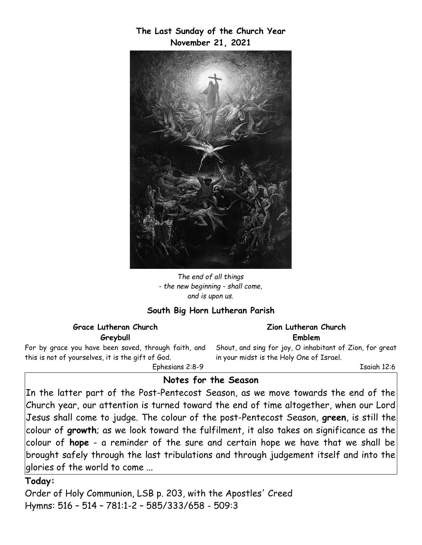**The Last Sunday of the Church Year November 21, 2021**



*The end of all things - the new beginning - shall come, and is upon us.*

#### **South Big Horn Lutheran Parish**

**Grace Lutheran Church Greybull**

For by grace you have been saved, through faith, and this is not of yourselves, it is the gift of God.

Ephesians 2:8-9

#### **Zion Lutheran Church Emblem**

Shout, and sing for joy, O inhabitant of Zion, for great in your midst is the Holy One of Israel.

Isaiah 12:6

#### **Notes for the Season**

In the latter part of the Post-Pentecost Season, as we move towards the end of the Church year, our attention is turned toward the end of time altogether, when our Lord Jesus shall come to judge. The colour of the post-Pentecost Season, **green**, is still the colour of **growth**; as we look toward the fulfilment, it also takes on significance as the colour of **hope** - a reminder of the sure and certain hope we have that we shall be brought safely through the last tribulations and through judgement itself and into the glories of the world to come ...

#### **Today:**

Order of Holy Communion, LSB p. 203, with the Apostles' Creed Hymns: 516 – 514 – 781:1-2 – 585/333/658 - 509:3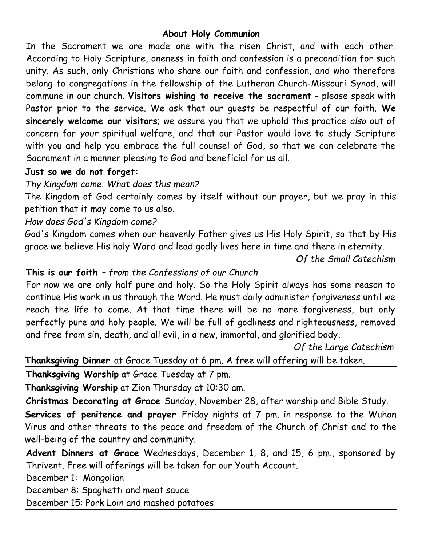# **About Holy Communion**

In the Sacrament we are made one with the risen Christ, and with each other. According to Holy Scripture, oneness in faith and confession is a precondition for such unity. As such, only Christians who share our faith and confession, and who therefore belong to congregations in the fellowship of the Lutheran Church-Missouri Synod, will commune in our church. **Visitors wishing to receive the sacrament** - please speak with Pastor prior to the service. We ask that our guests be respectful of our faith. **We sincerely welcome our visitors**; we assure you that we uphold this practice *also* out of concern for *your* spiritual welfare, and that our Pastor would love to study Scripture with you and help you embrace the full counsel of God, so that we can celebrate the Sacrament in a manner pleasing to God and beneficial for us all.

# **Just so we do not forget:**

*Thy Kingdom come. What does this mean?*

The Kingdom of God certainly comes by itself without our prayer, but we pray in this petition that it may come to us also.

# *How does God's Kingdom come?*

God's Kingdom comes when our heavenly Father gives us His Holy Spirit, so that by His grace we believe His holy Word and lead godly lives here in time and there in eternity.

*Of the Small Catechism*

**This is our faith** *– from the Confessions of our Church*

For now we are only half pure and holy. So the Holy Spirit always has some reason to continue His work in us through the Word. He must daily administer forgiveness until we reach the life to come. At that time there will be no more forgiveness, but only perfectly pure and holy people. We will be full of godliness and righteousness, removed and free from sin, death, and all evil, in a new, immortal, and glorified body*.*

 *Of the Large Catechism*

**Thanksgiving Dinner** at Grace Tuesday at 6 pm. A free will offering will be taken.

**Thanksgiving Worship** at Grace Tuesday at 7 pm.

**Thanksgiving Worship** at Zion Thursday at 10:30 am.

**Christmas Decorating at Grace** Sunday, November 28, after worship and Bible Study.

**Services of penitence and prayer** Friday nights at 7 pm. in response to the Wuhan Virus and other threats to the peace and freedom of the Church of Christ and to the well-being of the country and community.

**Advent Dinners at Grace** Wednesdays, December 1, 8, and 15, 6 pm., sponsored by Thrivent. Free will offerings will be taken for our Youth Account.

December 1: Mongolian

December 8: Spaghetti and meat sauce

December 15: Pork Loin and mashed potatoes